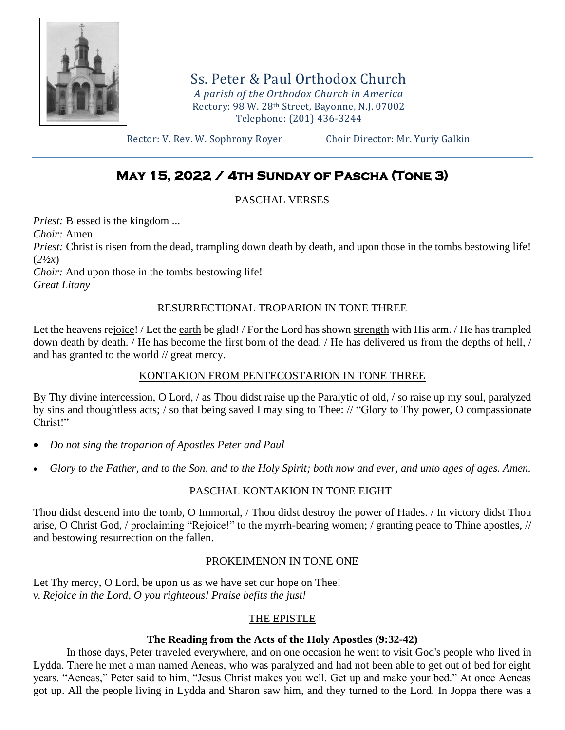

Ss. Peter & Paul Orthodox Church *A parish of the Orthodox Church in America* Rectory: 98 W. 28th Street, Bayonne, N.J. 07002 Telephone: (201) 436-3244

Rector: V. Rev. W. Sophrony Royer Choir Director: Mr. Yuriy Galkin

# **May 15, 2022 / 4th Sunday of Pascha (Tone 3)**

#### PASCHAL VERSES

*Priest:* Blessed is the kingdom ...

*Choir:* Amen.

*Priest:* Christ is risen from the dead, trampling down death by death, and upon those in the tombs bestowing life! (*2½x*)

*Choir:* And upon those in the tombs bestowing life!

*Great Litany*

#### RESURRECTIONAL TROPARION IN TONE THREE

Let the heavens rejoice! / Let the earth be glad! / For the Lord has shown strength with His arm. / He has trampled down death by death. / He has become the first born of the dead. / He has delivered us from the depths of hell, / and has granted to the world // great mercy.

#### KONTAKION FROM PENTECOSTARION IN TONE THREE

By Thy divine intercession, O Lord, / as Thou didst raise up the Paralytic of old, / so raise up my soul, paralyzed by sins and thoughtless acts; / so that being saved I may sing to Thee: // "Glory to Thy power, O compassionate Christ!"

- *Do not sing the troparion of Apostles Peter and Paul*
- *Glory to the Father, and to the Son, and to the Holy Spirit; both now and ever, and unto ages of ages. Amen.*

## PASCHAL KONTAKION IN TONE EIGHT

Thou didst descend into the tomb, O Immortal, / Thou didst destroy the power of Hades. / In victory didst Thou arise, O Christ God, / proclaiming "Rejoice!" to the myrrh-bearing women; / granting peace to Thine apostles, // and bestowing resurrection on the fallen.

#### PROKEIMENON IN TONE ONE

Let Thy mercy, O Lord, be upon us as we have set our hope on Thee! *v. Rejoice in the Lord, O you righteous! Praise befits the just!*

## THE EPISTLE

#### **The Reading from the Acts of the Holy Apostles (9:32-42)**

In those days, Peter traveled everywhere, and on one occasion he went to visit God's people who lived in Lydda. There he met a man named Aeneas, who was paralyzed and had not been able to get out of bed for eight years. "Aeneas," Peter said to him, "Jesus Christ makes you well. Get up and make your bed." At once Aeneas got up. All the people living in Lydda and Sharon saw him, and they turned to the Lord. In Joppa there was a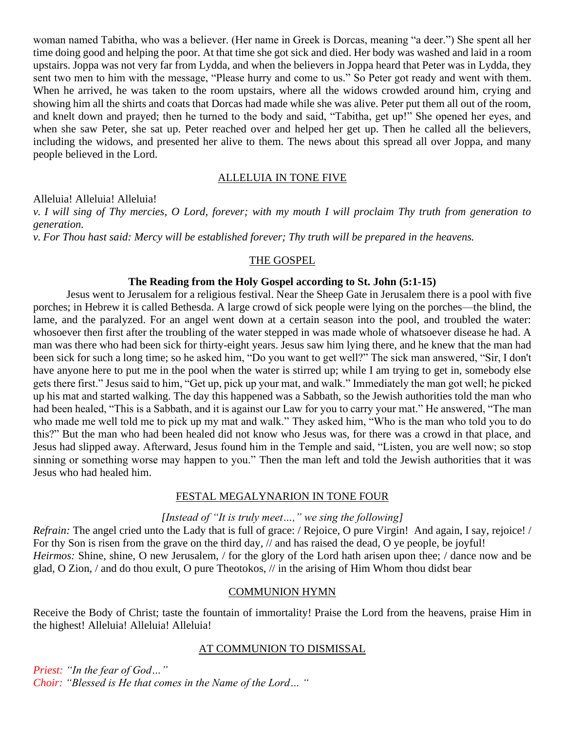woman named Tabitha, who was a believer. (Her name in Greek is Dorcas, meaning "a deer.") She spent all her time doing good and helping the poor. At that time she got sick and died. Her body was washed and laid in a room upstairs. Joppa was not very far from Lydda, and when the believers in Joppa heard that Peter was in Lydda, they sent two men to him with the message, "Please hurry and come to us." So Peter got ready and went with them. When he arrived, he was taken to the room upstairs, where all the widows crowded around him, crying and showing him all the shirts and coats that Dorcas had made while she was alive. Peter put them all out of the room, and knelt down and prayed; then he turned to the body and said, "Tabitha, get up!" She opened her eyes, and when she saw Peter, she sat up. Peter reached over and helped her get up. Then he called all the believers, including the widows, and presented her alive to them. The news about this spread all over Joppa, and many people believed in the Lord.

#### ALLELUIA IN TONE FIVE

Alleluia! Alleluia! Alleluia!

*v. I will sing of Thy mercies, O Lord, forever; with my mouth I will proclaim Thy truth from generation to generation.*

*v. For Thou hast said: Mercy will be established forever; Thy truth will be prepared in the heavens.*

#### THE GOSPEL

#### **The Reading from the Holy Gospel according to St. John (5:1-15)**

Jesus went to Jerusalem for a religious festival. Near the Sheep Gate in Jerusalem there is a pool with five porches; in Hebrew it is called Bethesda. A large crowd of sick people were lying on the porches—the blind, the lame, and the paralyzed. For an angel went down at a certain season into the pool, and troubled the water: whosoever then first after the troubling of the water stepped in was made whole of whatsoever disease he had. A man was there who had been sick for thirty-eight years. Jesus saw him lying there, and he knew that the man had been sick for such a long time; so he asked him, "Do you want to get well?" The sick man answered, "Sir, I don't have anyone here to put me in the pool when the water is stirred up; while I am trying to get in, somebody else gets there first." Jesus said to him, "Get up, pick up your mat, and walk." Immediately the man got well; he picked up his mat and started walking. The day this happened was a Sabbath, so the Jewish authorities told the man who had been healed, "This is a Sabbath, and it is against our Law for you to carry your mat." He answered, "The man who made me well told me to pick up my mat and walk." They asked him, "Who is the man who told you to do this?" But the man who had been healed did not know who Jesus was, for there was a crowd in that place, and Jesus had slipped away. Afterward, Jesus found him in the Temple and said, "Listen, you are well now; so stop sinning or something worse may happen to you." Then the man left and told the Jewish authorities that it was Jesus who had healed him.

#### FESTAL MEGALYNARION IN TONE FOUR

#### *[Instead of "It is truly meet…," we sing the following]*

*Refrain:* The angel cried unto the Lady that is full of grace: / Rejoice, O pure Virgin! And again, I say, rejoice! / For thy Son is risen from the grave on the third day, // and has raised the dead, O ye people, be joyful! *Heirmos:* Shine, shine, O new Jerusalem, / for the glory of the Lord hath arisen upon thee; / dance now and be glad, O Zion, / and do thou exult, O pure Theotokos, // in the arising of Him Whom thou didst bear

#### COMMUNION HYMN

Receive the Body of Christ; taste the fountain of immortality! Praise the Lord from the heavens, praise Him in the highest! Alleluia! Alleluia! Alleluia!

#### AT COMMUNION TO DISMISSAL

*Priest: "In the fear of God…" Choir: "Blessed is He that comes in the Name of the Lord… "*